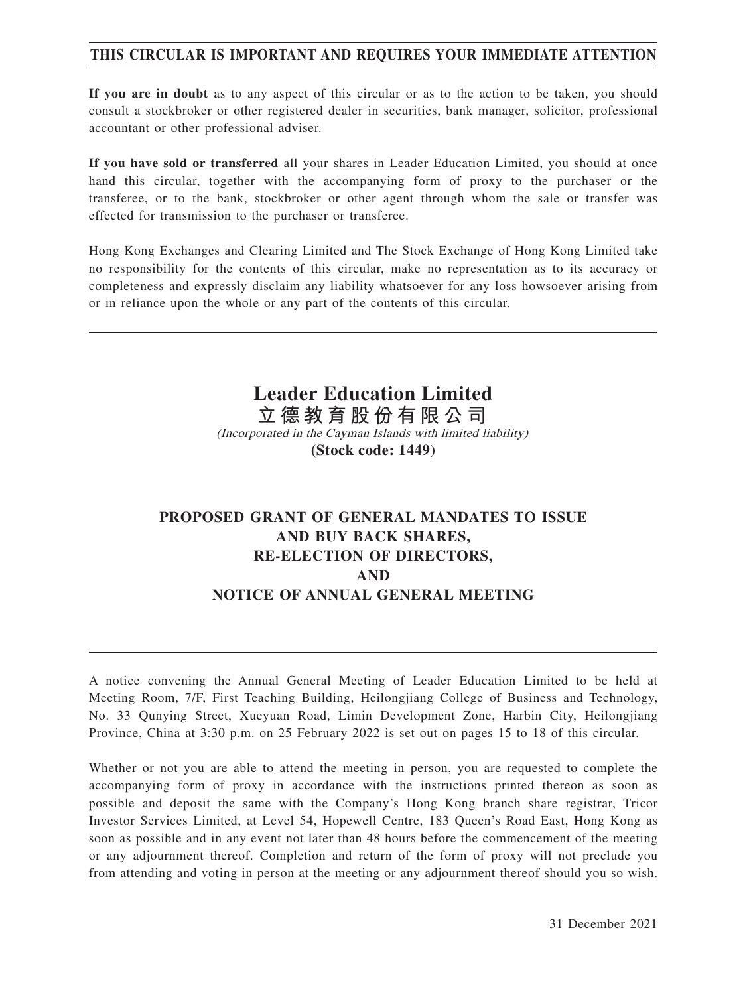# **THIS CIRCULAR IS IMPORTANT AND REQUIRES YOUR IMMEDIATE ATTENTION**

**If you are in doubt** as to any aspect of this circular or as to the action to be taken, you should consult a stockbroker or other registered dealer in securities, bank manager, solicitor, professional accountant or other professional adviser.

**If you have sold or transferred** all your shares in Leader Education Limited, you should at once hand this circular, together with the accompanying form of proxy to the purchaser or the transferee, or to the bank, stockbroker or other agent through whom the sale or transfer was effected for transmission to the purchaser or transferee.

Hong Kong Exchanges and Clearing Limited and The Stock Exchange of Hong Kong Limited take no responsibility for the contents of this circular, make no representation as to its accuracy or completeness and expressly disclaim any liability whatsoever for any loss howsoever arising from or in reliance upon the whole or any part of the contents of this circular.

> **Leader Education Limited 立德教育股份有限公司** (Incorporated in the Cayman Islands with limited liability) **(Stock code: 1449)**

# **PROPOSED GRANT OF GENERAL MANDATES TO ISSUE AND BUY BACK SHARES, RE-ELECTION OF DIRECTORS, AND NOTICE OF ANNUAL GENERAL MEETING**

A notice convening the Annual General Meeting of Leader Education Limited to be held at Meeting Room, 7/F, First Teaching Building, Heilongjiang College of Business and Technology, No. 33 Qunying Street, Xueyuan Road, Limin Development Zone, Harbin City, Heilongjiang Province, China at 3:30 p.m. on 25 February 2022 is set out on pages 15 to 18 of this circular.

Whether or not you are able to attend the meeting in person, you are requested to complete the accompanying form of proxy in accordance with the instructions printed thereon as soon as possible and deposit the same with the Company's Hong Kong branch share registrar, Tricor Investor Services Limited, at Level 54, Hopewell Centre, 183 Queen's Road East, Hong Kong as soon as possible and in any event not later than 48 hours before the commencement of the meeting or any adjournment thereof. Completion and return of the form of proxy will not preclude you from attending and voting in person at the meeting or any adjournment thereof should you so wish.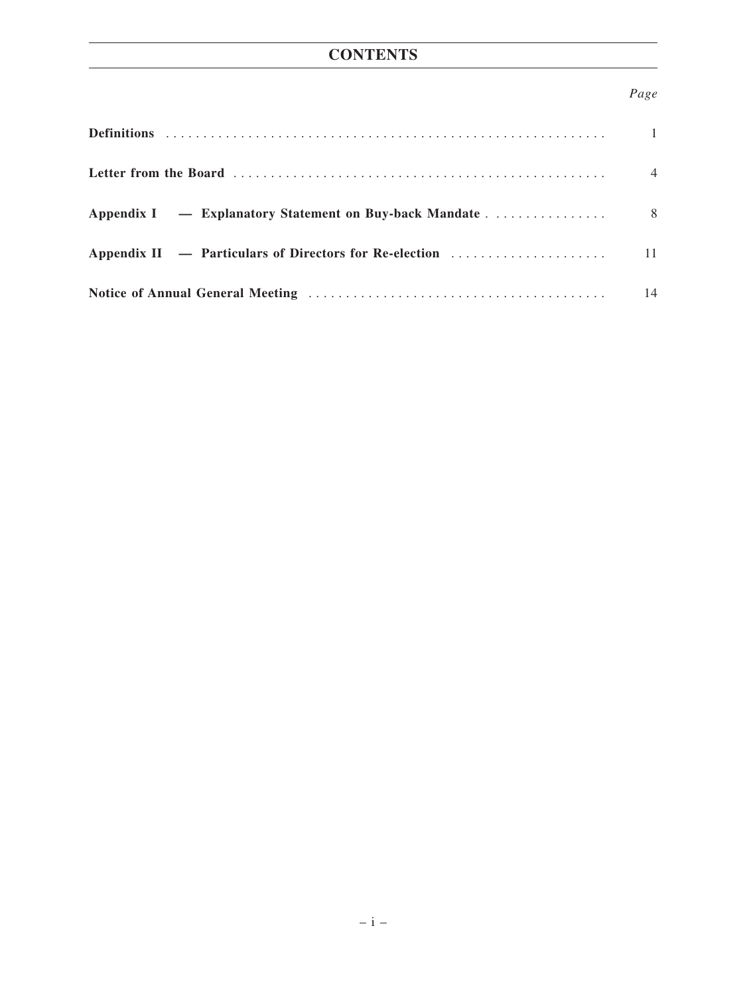# *Page*

| $\overline{1}$ |
|----------------|
| $\overline{4}$ |
|                |
|                |
| 14             |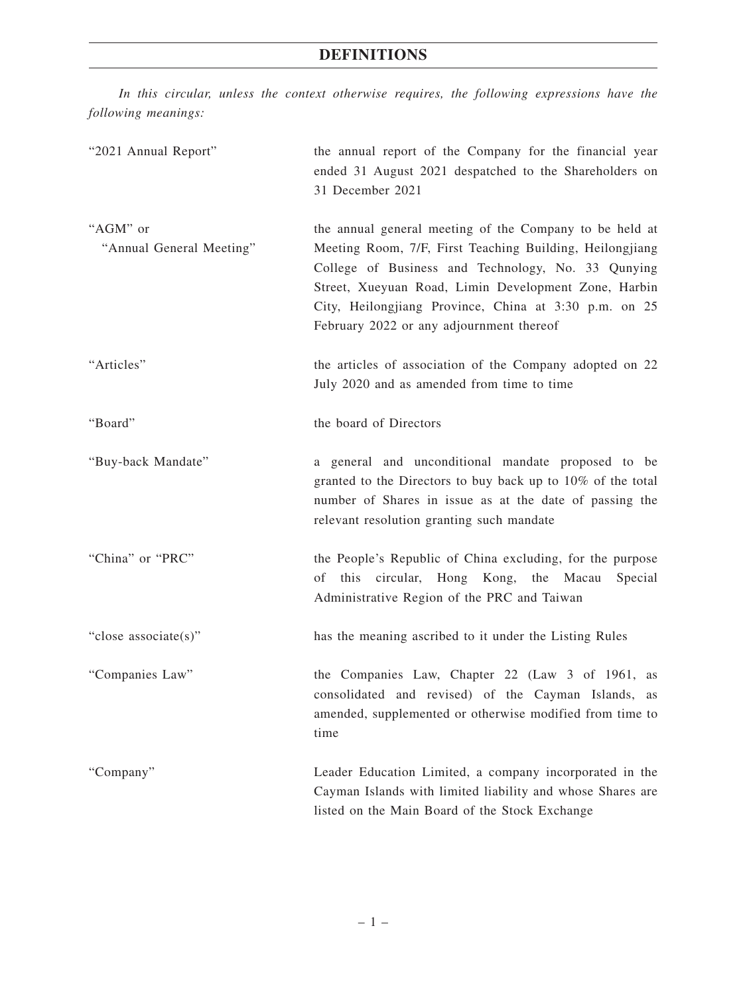# **DEFINITIONS**

*In this circular, unless the context otherwise requires, the following expressions have the following meanings:*

| "2021 Annual Report"                 | the annual report of the Company for the financial year<br>ended 31 August 2021 despatched to the Shareholders on<br>31 December 2021                                                                                                                                                                                                  |
|--------------------------------------|----------------------------------------------------------------------------------------------------------------------------------------------------------------------------------------------------------------------------------------------------------------------------------------------------------------------------------------|
| "AGM" or<br>"Annual General Meeting" | the annual general meeting of the Company to be held at<br>Meeting Room, 7/F, First Teaching Building, Heilongjiang<br>College of Business and Technology, No. 33 Qunying<br>Street, Xueyuan Road, Limin Development Zone, Harbin<br>City, Heilongjiang Province, China at 3:30 p.m. on 25<br>February 2022 or any adjournment thereof |
| "Articles"                           | the articles of association of the Company adopted on 22<br>July 2020 and as amended from time to time                                                                                                                                                                                                                                 |
| "Board"                              | the board of Directors                                                                                                                                                                                                                                                                                                                 |
| "Buy-back Mandate"                   | a general and unconditional mandate proposed to be<br>granted to the Directors to buy back up to 10% of the total<br>number of Shares in issue as at the date of passing the<br>relevant resolution granting such mandate                                                                                                              |
| "China" or "PRC"                     | the People's Republic of China excluding, for the purpose<br>this circular, Hong Kong, the Macau<br>Special<br>οf<br>Administrative Region of the PRC and Taiwan                                                                                                                                                                       |
| "close associate(s)"                 | has the meaning ascribed to it under the Listing Rules                                                                                                                                                                                                                                                                                 |
| "Companies Law"                      | the Companies Law, Chapter 22 (Law 3 of 1961, as<br>consolidated and revised) of the Cayman Islands, as<br>amended, supplemented or otherwise modified from time to<br>time                                                                                                                                                            |
| "Company"                            | Leader Education Limited, a company incorporated in the<br>Cayman Islands with limited liability and whose Shares are<br>listed on the Main Board of the Stock Exchange                                                                                                                                                                |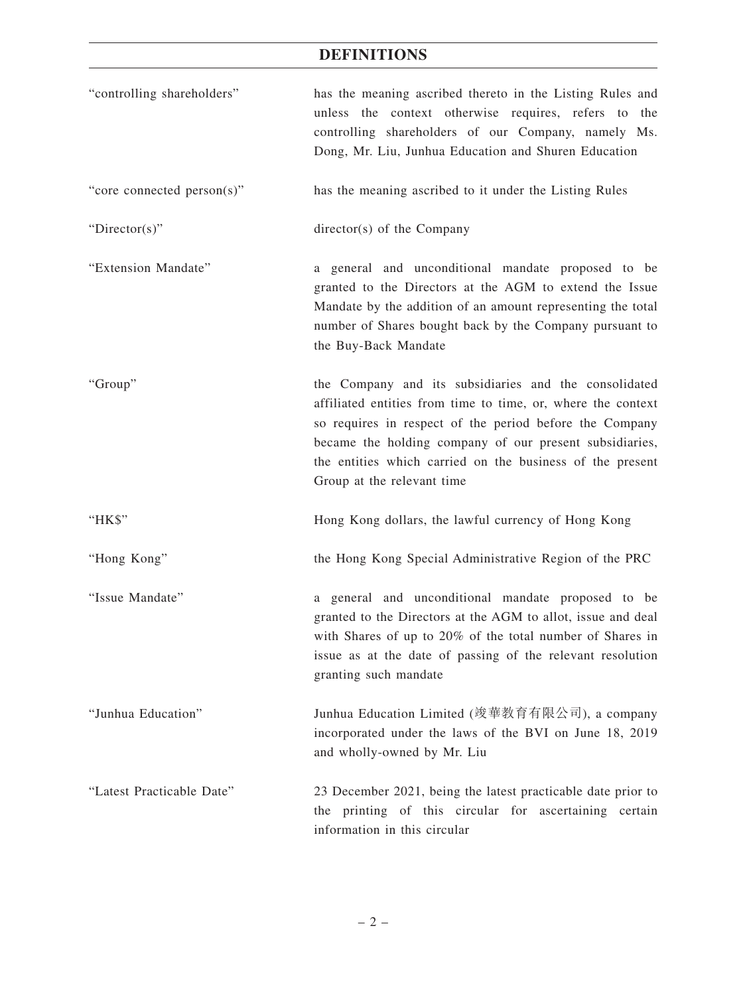# **DEFINITIONS**

| "controlling shareholders" | has the meaning ascribed thereto in the Listing Rules and<br>unless the context otherwise requires, refers to the<br>controlling shareholders of our Company, namely Ms.<br>Dong, Mr. Liu, Junhua Education and Shuren Education                                                                                                       |
|----------------------------|----------------------------------------------------------------------------------------------------------------------------------------------------------------------------------------------------------------------------------------------------------------------------------------------------------------------------------------|
| "core connected person(s)" | has the meaning ascribed to it under the Listing Rules                                                                                                                                                                                                                                                                                 |
| "Director(s)"              | director(s) of the Company                                                                                                                                                                                                                                                                                                             |
| "Extension Mandate"        | a general and unconditional mandate proposed to be<br>granted to the Directors at the AGM to extend the Issue<br>Mandate by the addition of an amount representing the total<br>number of Shares bought back by the Company pursuant to<br>the Buy-Back Mandate                                                                        |
| "Group"                    | the Company and its subsidiaries and the consolidated<br>affiliated entities from time to time, or, where the context<br>so requires in respect of the period before the Company<br>became the holding company of our present subsidiaries,<br>the entities which carried on the business of the present<br>Group at the relevant time |
| "HK\$"                     | Hong Kong dollars, the lawful currency of Hong Kong                                                                                                                                                                                                                                                                                    |
| "Hong Kong"                | the Hong Kong Special Administrative Region of the PRC                                                                                                                                                                                                                                                                                 |
| "Issue Mandate"            | a general and unconditional mandate proposed to be<br>granted to the Directors at the AGM to allot, issue and deal<br>with Shares of up to 20% of the total number of Shares in<br>issue as at the date of passing of the relevant resolution<br>granting such mandate                                                                 |
| "Junhua Education"         | Junhua Education Limited (竣華教育有限公司), a company<br>incorporated under the laws of the BVI on June 18, 2019<br>and wholly-owned by Mr. Liu                                                                                                                                                                                               |
| "Latest Practicable Date"  | 23 December 2021, being the latest practicable date prior to<br>the printing of this circular for ascertaining certain<br>information in this circular                                                                                                                                                                                 |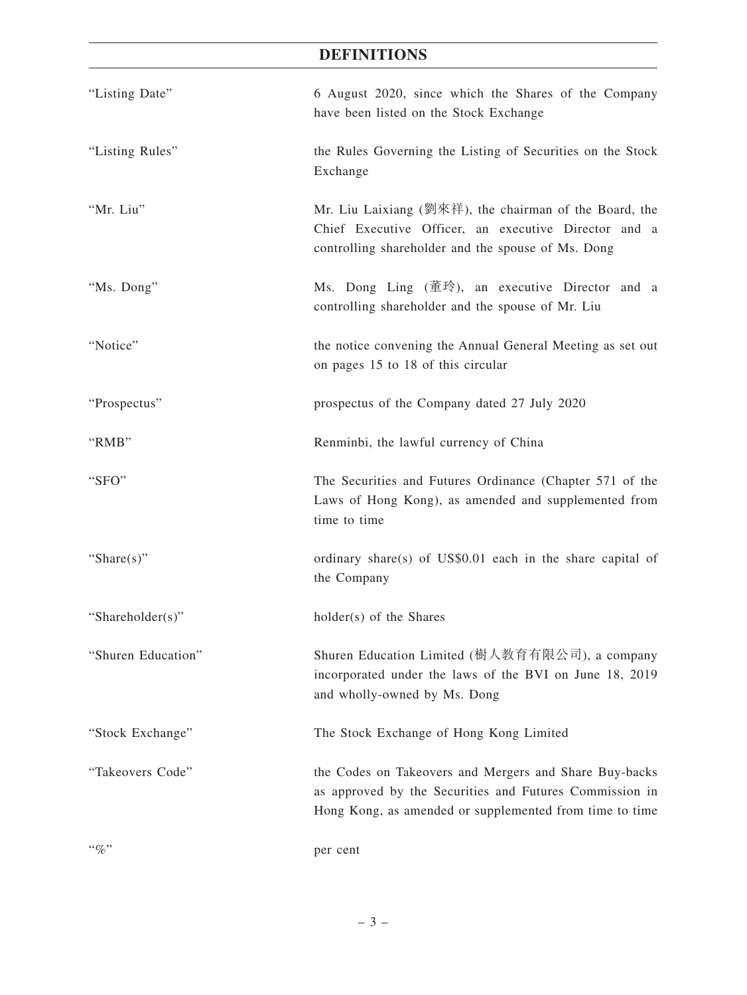# **DEFINITIONS**

| "Listing Date"     | 6 August 2020, since which the Shares of the Company<br>have been listed on the Stock Exchange                                                                               |
|--------------------|------------------------------------------------------------------------------------------------------------------------------------------------------------------------------|
| "Listing Rules"    | the Rules Governing the Listing of Securities on the Stock<br>Exchange                                                                                                       |
| "Mr. Liu"          | Mr. Liu Laixiang (劉來祥), the chairman of the Board, the<br>Chief Executive Officer, an executive Director and a<br>controlling shareholder and the spouse of Ms. Dong         |
| "Ms. Dong"         | Ms. Dong Ling $(\underline{\vec{\mathbb{E}}} \cdot \hat{\mathbb{R}})$ , an executive Director and a<br>controlling shareholder and the spouse of Mr. Liu                     |
| "Notice"           | the notice convening the Annual General Meeting as set out<br>on pages 15 to 18 of this circular                                                                             |
| "Prospectus"       | prospectus of the Company dated 27 July 2020                                                                                                                                 |
| "RMB"              | Renminbi, the lawful currency of China                                                                                                                                       |
| "SFO"              | The Securities and Futures Ordinance (Chapter 571 of the<br>Laws of Hong Kong), as amended and supplemented from<br>time to time                                             |
| "Share $(s)$ "     | ordinary share(s) of US\$0.01 each in the share capital of<br>the Company                                                                                                    |
| "Shareholder(s)"   | holder(s) of the Shares                                                                                                                                                      |
| "Shuren Education" | Shuren Education Limited (樹人教育有限公司), a company<br>incorporated under the laws of the BVI on June 18, 2019<br>and wholly-owned by Ms. Dong                                    |
| "Stock Exchange"   | The Stock Exchange of Hong Kong Limited                                                                                                                                      |
| "Takeovers Code"   | the Codes on Takeovers and Mergers and Share Buy-backs<br>as approved by the Securities and Futures Commission in<br>Hong Kong, as amended or supplemented from time to time |
| $``\%"$            | per cent                                                                                                                                                                     |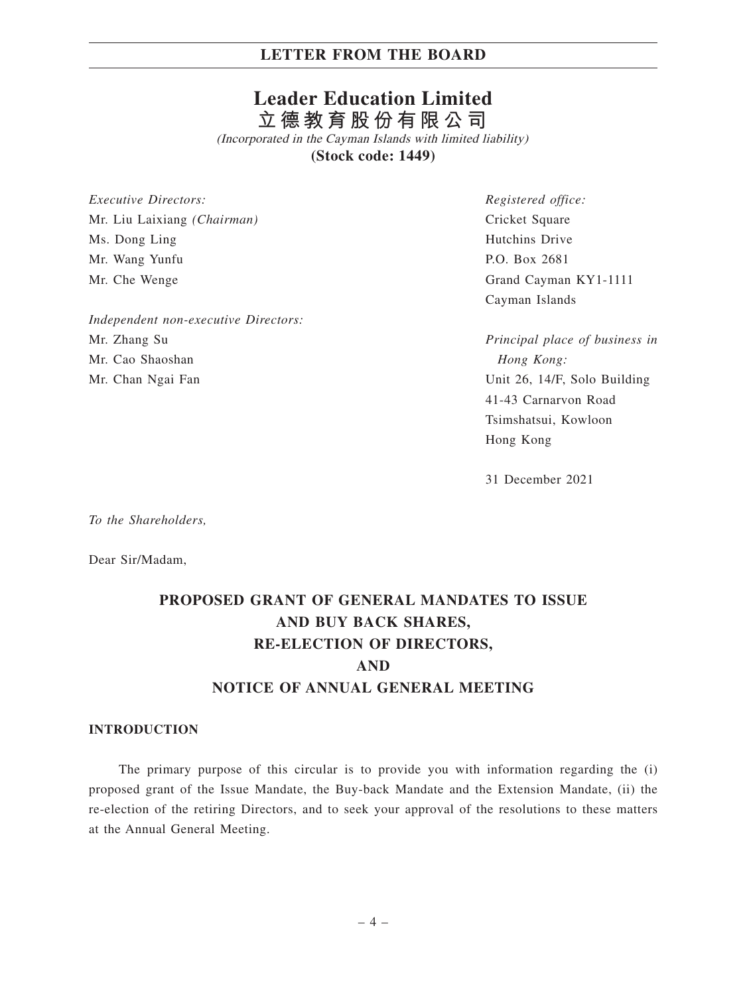# **Leader Education Limited 立德教育股份有限公司**

(Incorporated in the Cayman Islands with limited liability) **(Stock code: 1449)**

*Executive Directors:* Mr. Liu Laixiang *(Chairman)* Ms. Dong Ling Mr. Wang Yunfu Mr. Che Wenge

*Independent non-executive Directors:* Mr. Zhang Su Mr. Cao Shaoshan Mr. Chan Ngai Fan

*Registered office:* Cricket Square Hutchins Drive P.O. Box 2681 Grand Cayman KY1-1111 Cayman Islands

*Principal place of business in Hong Kong:* Unit 26, 14/F, Solo Building 41-43 Carnarvon Road Tsimshatsui, Kowloon Hong Kong

31 December 2021

*To the Shareholders,*

Dear Sir/Madam,

# **PROPOSED GRANT OF GENERAL MANDATES TO ISSUE AND BUY BACK SHARES, RE-ELECTION OF DIRECTORS, AND NOTICE OF ANNUAL GENERAL MEETING**

#### **INTRODUCTION**

The primary purpose of this circular is to provide you with information regarding the (i) proposed grant of the Issue Mandate, the Buy-back Mandate and the Extension Mandate, (ii) the re-election of the retiring Directors, and to seek your approval of the resolutions to these matters at the Annual General Meeting.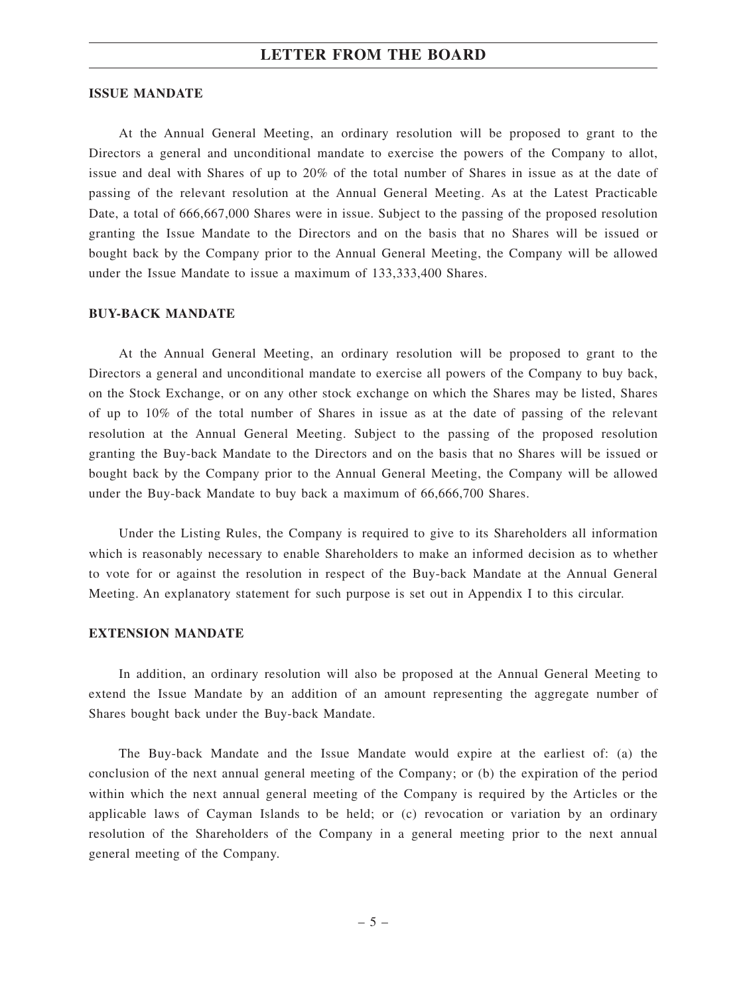#### **ISSUE MANDATE**

At the Annual General Meeting, an ordinary resolution will be proposed to grant to the Directors a general and unconditional mandate to exercise the powers of the Company to allot, issue and deal with Shares of up to 20% of the total number of Shares in issue as at the date of passing of the relevant resolution at the Annual General Meeting. As at the Latest Practicable Date, a total of 666,667,000 Shares were in issue. Subject to the passing of the proposed resolution granting the Issue Mandate to the Directors and on the basis that no Shares will be issued or bought back by the Company prior to the Annual General Meeting, the Company will be allowed under the Issue Mandate to issue a maximum of 133,333,400 Shares.

### **BUY-BACK MANDATE**

At the Annual General Meeting, an ordinary resolution will be proposed to grant to the Directors a general and unconditional mandate to exercise all powers of the Company to buy back, on the Stock Exchange, or on any other stock exchange on which the Shares may be listed, Shares of up to 10% of the total number of Shares in issue as at the date of passing of the relevant resolution at the Annual General Meeting. Subject to the passing of the proposed resolution granting the Buy-back Mandate to the Directors and on the basis that no Shares will be issued or bought back by the Company prior to the Annual General Meeting, the Company will be allowed under the Buy-back Mandate to buy back a maximum of 66,666,700 Shares.

Under the Listing Rules, the Company is required to give to its Shareholders all information which is reasonably necessary to enable Shareholders to make an informed decision as to whether to vote for or against the resolution in respect of the Buy-back Mandate at the Annual General Meeting. An explanatory statement for such purpose is set out in Appendix I to this circular.

#### **EXTENSION MANDATE**

In addition, an ordinary resolution will also be proposed at the Annual General Meeting to extend the Issue Mandate by an addition of an amount representing the aggregate number of Shares bought back under the Buy-back Mandate.

The Buy-back Mandate and the Issue Mandate would expire at the earliest of: (a) the conclusion of the next annual general meeting of the Company; or (b) the expiration of the period within which the next annual general meeting of the Company is required by the Articles or the applicable laws of Cayman Islands to be held; or (c) revocation or variation by an ordinary resolution of the Shareholders of the Company in a general meeting prior to the next annual general meeting of the Company.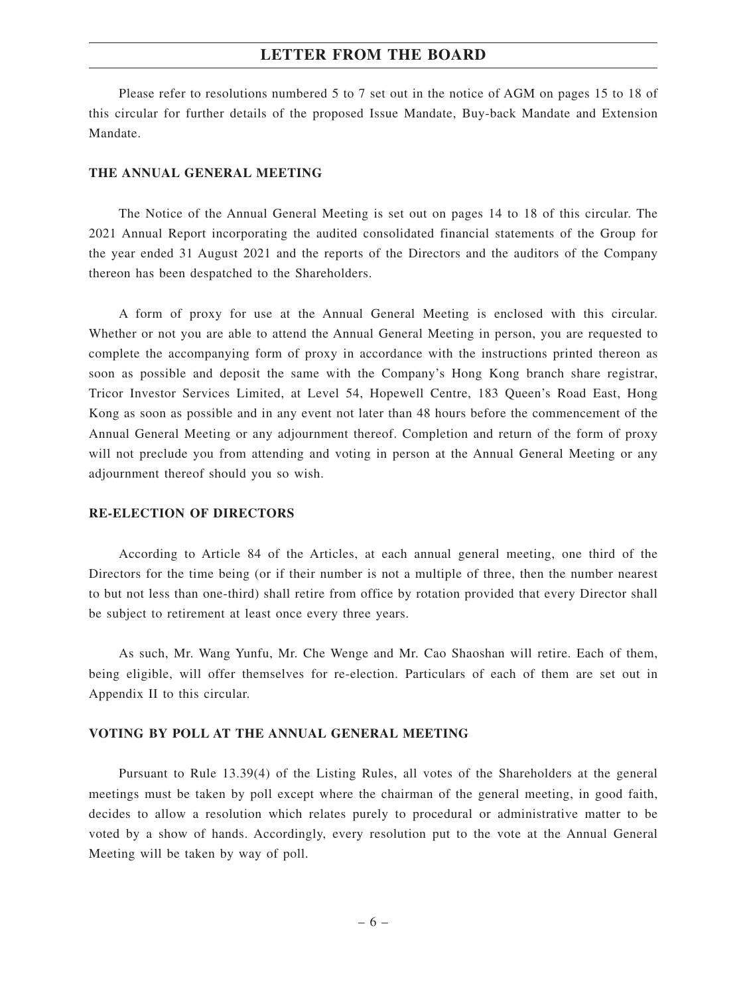Please refer to resolutions numbered 5 to 7 set out in the notice of AGM on pages 15 to 18 of this circular for further details of the proposed Issue Mandate, Buy-back Mandate and Extension Mandate.

#### **THE ANNUAL GENERAL MEETING**

The Notice of the Annual General Meeting is set out on pages 14 to 18 of this circular. The 2021 Annual Report incorporating the audited consolidated financial statements of the Group for the year ended 31 August 2021 and the reports of the Directors and the auditors of the Company thereon has been despatched to the Shareholders.

A form of proxy for use at the Annual General Meeting is enclosed with this circular. Whether or not you are able to attend the Annual General Meeting in person, you are requested to complete the accompanying form of proxy in accordance with the instructions printed thereon as soon as possible and deposit the same with the Company's Hong Kong branch share registrar, Tricor Investor Services Limited, at Level 54, Hopewell Centre, 183 Queen's Road East, Hong Kong as soon as possible and in any event not later than 48 hours before the commencement of the Annual General Meeting or any adjournment thereof. Completion and return of the form of proxy will not preclude you from attending and voting in person at the Annual General Meeting or any adjournment thereof should you so wish.

#### **RE-ELECTION OF DIRECTORS**

According to Article 84 of the Articles, at each annual general meeting, one third of the Directors for the time being (or if their number is not a multiple of three, then the number nearest to but not less than one-third) shall retire from office by rotation provided that every Director shall be subject to retirement at least once every three years.

As such, Mr. Wang Yunfu, Mr. Che Wenge and Mr. Cao Shaoshan will retire. Each of them, being eligible, will offer themselves for re-election. Particulars of each of them are set out in Appendix II to this circular.

### **VOTING BY POLL AT THE ANNUAL GENERAL MEETING**

Pursuant to Rule 13.39(4) of the Listing Rules, all votes of the Shareholders at the general meetings must be taken by poll except where the chairman of the general meeting, in good faith, decides to allow a resolution which relates purely to procedural or administrative matter to be voted by a show of hands. Accordingly, every resolution put to the vote at the Annual General Meeting will be taken by way of poll.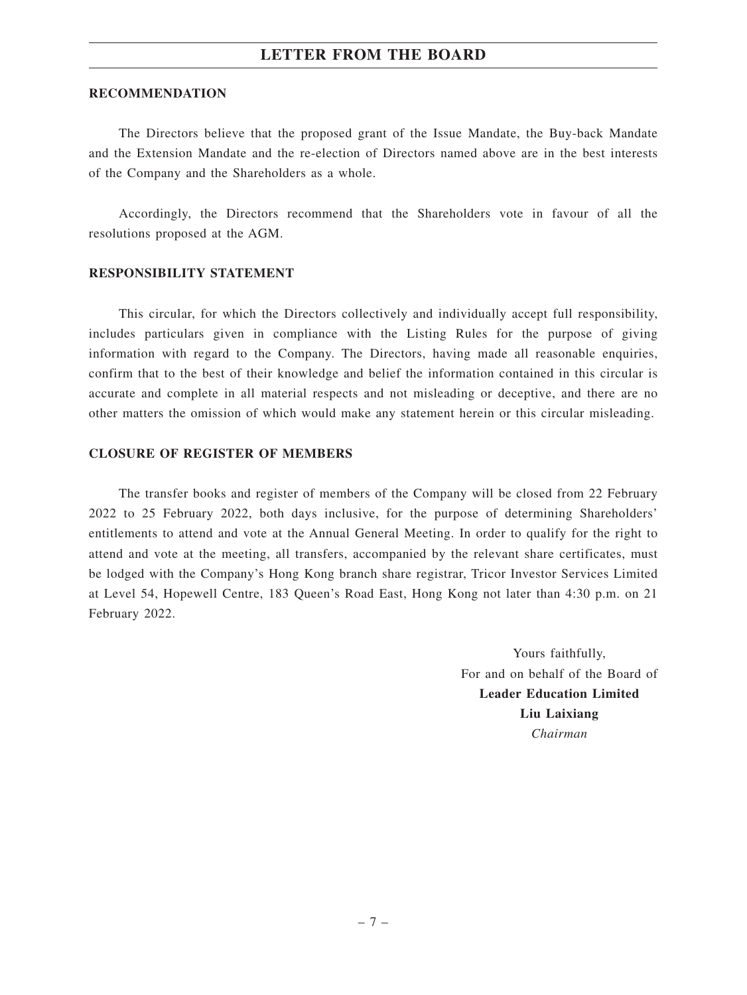#### **RECOMMENDATION**

The Directors believe that the proposed grant of the Issue Mandate, the Buy-back Mandate and the Extension Mandate and the re-election of Directors named above are in the best interests of the Company and the Shareholders as a whole.

Accordingly, the Directors recommend that the Shareholders vote in favour of all the resolutions proposed at the AGM.

#### **RESPONSIBILITY STATEMENT**

This circular, for which the Directors collectively and individually accept full responsibility, includes particulars given in compliance with the Listing Rules for the purpose of giving information with regard to the Company. The Directors, having made all reasonable enquiries, confirm that to the best of their knowledge and belief the information contained in this circular is accurate and complete in all material respects and not misleading or deceptive, and there are no other matters the omission of which would make any statement herein or this circular misleading.

### **CLOSURE OF REGISTER OF MEMBERS**

The transfer books and register of members of the Company will be closed from 22 February 2022 to 25 February 2022, both days inclusive, for the purpose of determining Shareholders' entitlements to attend and vote at the Annual General Meeting. In order to qualify for the right to attend and vote at the meeting, all transfers, accompanied by the relevant share certificates, must be lodged with the Company's Hong Kong branch share registrar, Tricor Investor Services Limited at Level 54, Hopewell Centre, 183 Queen's Road East, Hong Kong not later than 4:30 p.m. on 21 February 2022.

> Yours faithfully, For and on behalf of the Board of **Leader Education Limited Liu Laixiang** *Chairman*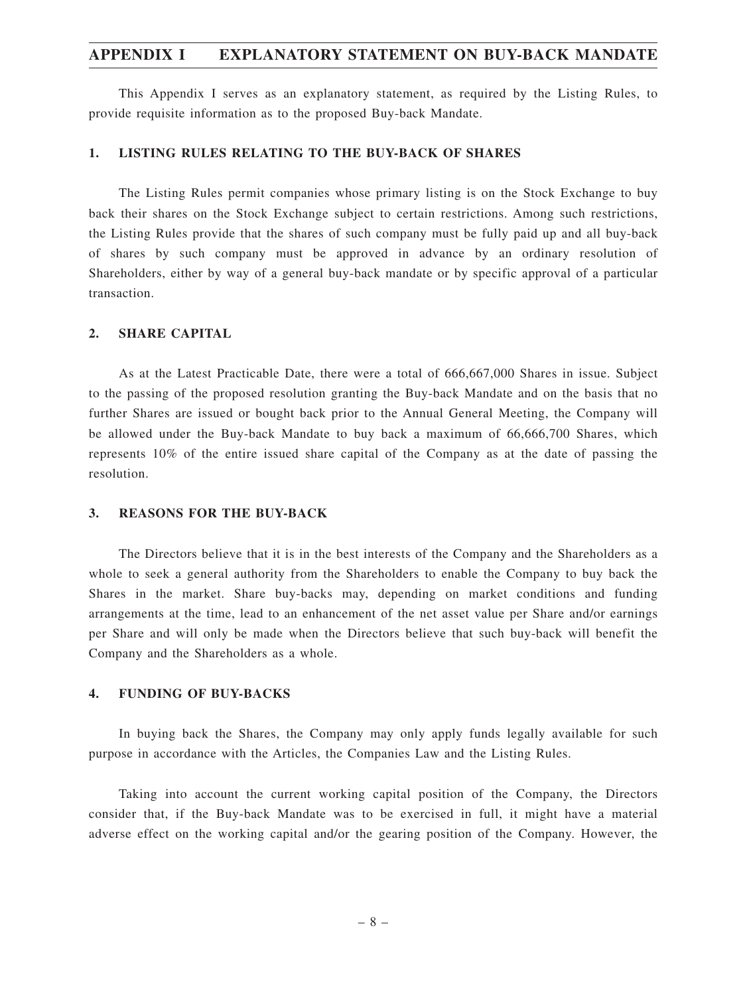### **APPENDIX I EXPLANATORY STATEMENT ON BUY-BACK MANDATE**

This Appendix I serves as an explanatory statement, as required by the Listing Rules, to provide requisite information as to the proposed Buy-back Mandate.

#### **1. LISTING RULES RELATING TO THE BUY-BACK OF SHARES**

The Listing Rules permit companies whose primary listing is on the Stock Exchange to buy back their shares on the Stock Exchange subject to certain restrictions. Among such restrictions, the Listing Rules provide that the shares of such company must be fully paid up and all buy-back of shares by such company must be approved in advance by an ordinary resolution of Shareholders, either by way of a general buy-back mandate or by specific approval of a particular transaction.

### **2. SHARE CAPITAL**

As at the Latest Practicable Date, there were a total of 666,667,000 Shares in issue. Subject to the passing of the proposed resolution granting the Buy-back Mandate and on the basis that no further Shares are issued or bought back prior to the Annual General Meeting, the Company will be allowed under the Buy-back Mandate to buy back a maximum of 66,666,700 Shares, which represents 10% of the entire issued share capital of the Company as at the date of passing the resolution.

#### **3. REASONS FOR THE BUY-BACK**

The Directors believe that it is in the best interests of the Company and the Shareholders as a whole to seek a general authority from the Shareholders to enable the Company to buy back the Shares in the market. Share buy-backs may, depending on market conditions and funding arrangements at the time, lead to an enhancement of the net asset value per Share and/or earnings per Share and will only be made when the Directors believe that such buy-back will benefit the Company and the Shareholders as a whole.

### **4. FUNDING OF BUY-BACKS**

In buying back the Shares, the Company may only apply funds legally available for such purpose in accordance with the Articles, the Companies Law and the Listing Rules.

Taking into account the current working capital position of the Company, the Directors consider that, if the Buy-back Mandate was to be exercised in full, it might have a material adverse effect on the working capital and/or the gearing position of the Company. However, the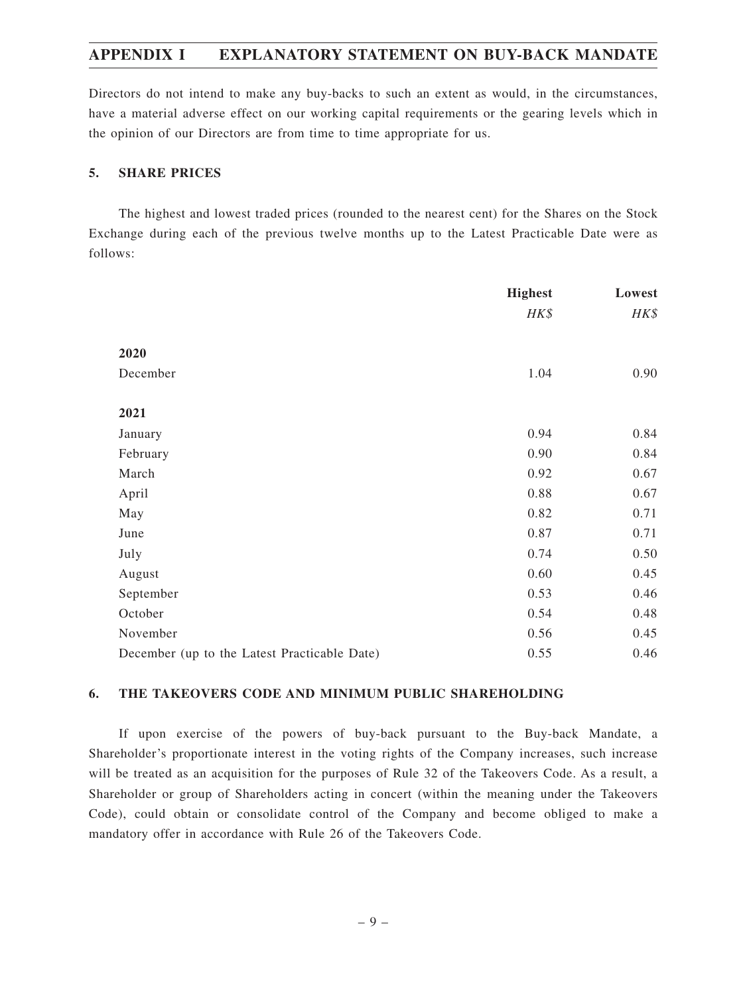# **APPENDIX I EXPLANATORY STATEMENT ON BUY-BACK MANDATE**

Directors do not intend to make any buy-backs to such an extent as would, in the circumstances, have a material adverse effect on our working capital requirements or the gearing levels which in the opinion of our Directors are from time to time appropriate for us.

### **5. SHARE PRICES**

The highest and lowest traded prices (rounded to the nearest cent) for the Shares on the Stock Exchange during each of the previous twelve months up to the Latest Practicable Date were as follows:

|                                              | <b>Highest</b> | Lowest |
|----------------------------------------------|----------------|--------|
|                                              | HK\$           | HK\$   |
| 2020                                         |                |        |
| December                                     | 1.04           | 0.90   |
| 2021                                         |                |        |
|                                              |                |        |
| January                                      | 0.94           | 0.84   |
| February                                     | 0.90           | 0.84   |
| March                                        | 0.92           | 0.67   |
| April                                        | 0.88           | 0.67   |
| May                                          | 0.82           | 0.71   |
| June                                         | 0.87           | 0.71   |
| July                                         | 0.74           | 0.50   |
| August                                       | 0.60           | 0.45   |
| September                                    | 0.53           | 0.46   |
| October                                      | 0.54           | 0.48   |
| November                                     | 0.56           | 0.45   |
| December (up to the Latest Practicable Date) | 0.55           | 0.46   |

### **6. THE TAKEOVERS CODE AND MINIMUM PUBLIC SHAREHOLDING**

If upon exercise of the powers of buy-back pursuant to the Buy-back Mandate, a Shareholder's proportionate interest in the voting rights of the Company increases, such increase will be treated as an acquisition for the purposes of Rule 32 of the Takeovers Code. As a result, a Shareholder or group of Shareholders acting in concert (within the meaning under the Takeovers Code), could obtain or consolidate control of the Company and become obliged to make a mandatory offer in accordance with Rule 26 of the Takeovers Code.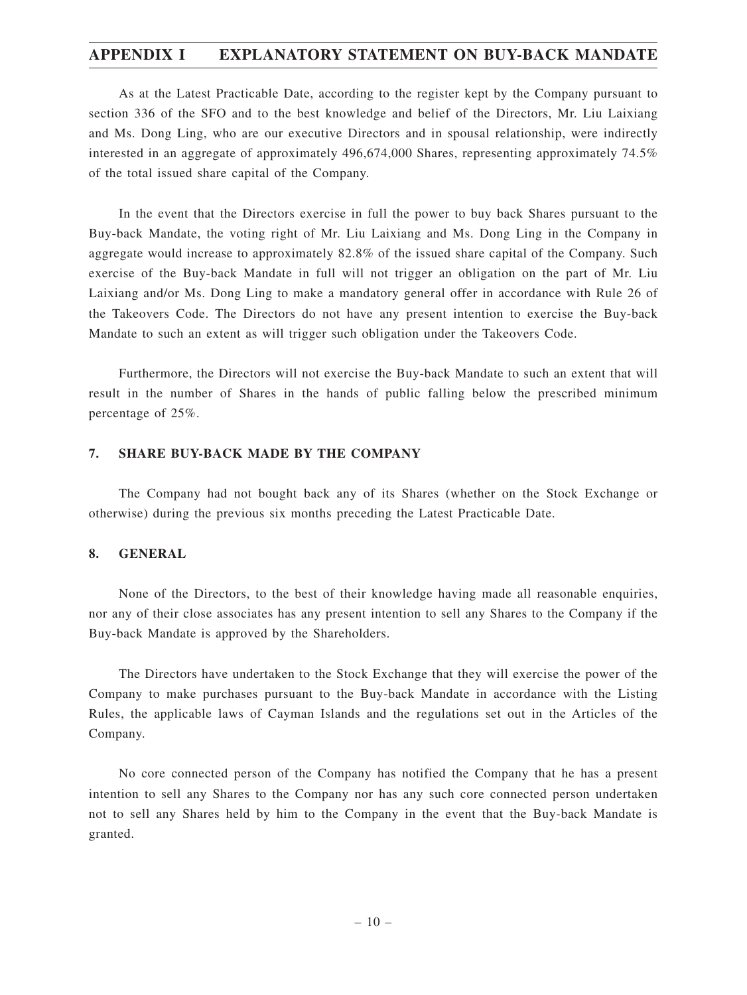## **APPENDIX I EXPLANATORY STATEMENT ON BUY-BACK MANDATE**

As at the Latest Practicable Date, according to the register kept by the Company pursuant to section 336 of the SFO and to the best knowledge and belief of the Directors, Mr. Liu Laixiang and Ms. Dong Ling, who are our executive Directors and in spousal relationship, were indirectly interested in an aggregate of approximately 496,674,000 Shares, representing approximately 74.5% of the total issued share capital of the Company.

In the event that the Directors exercise in full the power to buy back Shares pursuant to the Buy-back Mandate, the voting right of Mr. Liu Laixiang and Ms. Dong Ling in the Company in aggregate would increase to approximately 82.8% of the issued share capital of the Company. Such exercise of the Buy-back Mandate in full will not trigger an obligation on the part of Mr. Liu Laixiang and/or Ms. Dong Ling to make a mandatory general offer in accordance with Rule 26 of the Takeovers Code. The Directors do not have any present intention to exercise the Buy-back Mandate to such an extent as will trigger such obligation under the Takeovers Code.

Furthermore, the Directors will not exercise the Buy-back Mandate to such an extent that will result in the number of Shares in the hands of public falling below the prescribed minimum percentage of 25%.

### **7. SHARE BUY-BACK MADE BY THE COMPANY**

The Company had not bought back any of its Shares (whether on the Stock Exchange or otherwise) during the previous six months preceding the Latest Practicable Date.

#### **8. GENERAL**

None of the Directors, to the best of their knowledge having made all reasonable enquiries, nor any of their close associates has any present intention to sell any Shares to the Company if the Buy-back Mandate is approved by the Shareholders.

The Directors have undertaken to the Stock Exchange that they will exercise the power of the Company to make purchases pursuant to the Buy-back Mandate in accordance with the Listing Rules, the applicable laws of Cayman Islands and the regulations set out in the Articles of the Company.

No core connected person of the Company has notified the Company that he has a present intention to sell any Shares to the Company nor has any such core connected person undertaken not to sell any Shares held by him to the Company in the event that the Buy-back Mandate is granted.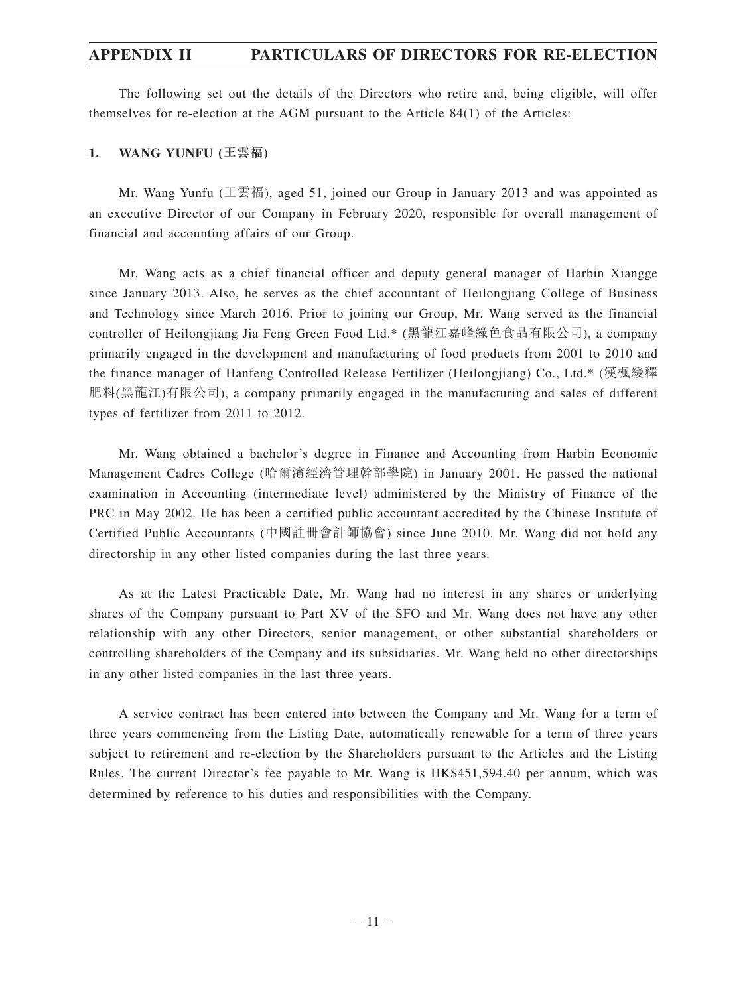## **APPENDIX II PARTICULARS OF DIRECTORS FOR RE-ELECTION**

The following set out the details of the Directors who retire and, being eligible, will offer themselves for re-election at the AGM pursuant to the Article 84(1) of the Articles:

### **1. WANG YUNFU (王雲福)**

Mr. Wang Yunfu (王雲福), aged 51, joined our Group in January 2013 and was appointed as an executive Director of our Company in February 2020, responsible for overall management of financial and accounting affairs of our Group.

Mr. Wang acts as a chief financial officer and deputy general manager of Harbin Xiangge since January 2013. Also, he serves as the chief accountant of Heilongjiang College of Business and Technology since March 2016. Prior to joining our Group, Mr. Wang served as the financial controller of Heilongjiang Jia Feng Green Food Ltd.\* (黑龍江嘉峰綠色食品有限公司), a company primarily engaged in the development and manufacturing of food products from 2001 to 2010 and the finance manager of Hanfeng Controlled Release Fertilizer (Heilongjiang) Co., Ltd.\* (漢楓緩釋 肥料(黑龍江)有限公司), a company primarily engaged in the manufacturing and sales of different types of fertilizer from 2011 to 2012.

Mr. Wang obtained a bachelor's degree in Finance and Accounting from Harbin Economic Management Cadres College (哈爾濱經濟管理幹部學院) in January 2001. He passed the national examination in Accounting (intermediate level) administered by the Ministry of Finance of the PRC in May 2002. He has been a certified public accountant accredited by the Chinese Institute of Certified Public Accountants (中國註冊會計師協會) since June 2010. Mr. Wang did not hold any directorship in any other listed companies during the last three years.

As at the Latest Practicable Date, Mr. Wang had no interest in any shares or underlying shares of the Company pursuant to Part XV of the SFO and Mr. Wang does not have any other relationship with any other Directors, senior management, or other substantial shareholders or controlling shareholders of the Company and its subsidiaries. Mr. Wang held no other directorships in any other listed companies in the last three years.

A service contract has been entered into between the Company and Mr. Wang for a term of three years commencing from the Listing Date, automatically renewable for a term of three years subject to retirement and re-election by the Shareholders pursuant to the Articles and the Listing Rules. The current Director's fee payable to Mr. Wang is HK\$451,594.40 per annum, which was determined by reference to his duties and responsibilities with the Company.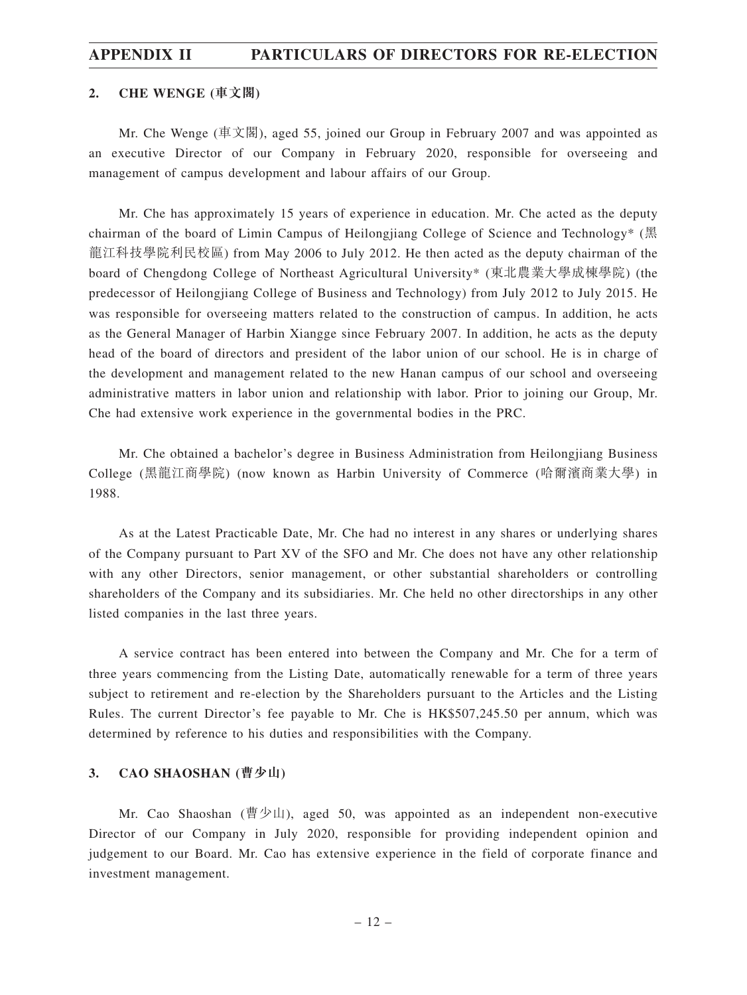### **APPENDIX II PARTICULARS OF DIRECTORS FOR RE-ELECTION**

#### **2. CHE WENGE (車文閣)**

Mr. Che Wenge (車文閣), aged 55, joined our Group in February 2007 and was appointed as an executive Director of our Company in February 2020, responsible for overseeing and management of campus development and labour affairs of our Group.

Mr. Che has approximately 15 years of experience in education. Mr. Che acted as the deputy chairman of the board of Limin Campus of Heilongjiang College of Science and Technology\* (黑 龍江科技學院利民校區) from May 2006 to July 2012. He then acted as the deputy chairman of the board of Chengdong College of Northeast Agricultural University\* (東北農業大學成棟學院) (the predecessor of Heilongjiang College of Business and Technology) from July 2012 to July 2015. He was responsible for overseeing matters related to the construction of campus. In addition, he acts as the General Manager of Harbin Xiangge since February 2007. In addition, he acts as the deputy head of the board of directors and president of the labor union of our school. He is in charge of the development and management related to the new Hanan campus of our school and overseeing administrative matters in labor union and relationship with labor. Prior to joining our Group, Mr. Che had extensive work experience in the governmental bodies in the PRC.

Mr. Che obtained a bachelor's degree in Business Administration from Heilongjiang Business College (黑龍江商學院) (now known as Harbin University of Commerce (哈爾濱商業大學) in 1988.

As at the Latest Practicable Date, Mr. Che had no interest in any shares or underlying shares of the Company pursuant to Part XV of the SFO and Mr. Che does not have any other relationship with any other Directors, senior management, or other substantial shareholders or controlling shareholders of the Company and its subsidiaries. Mr. Che held no other directorships in any other listed companies in the last three years.

A service contract has been entered into between the Company and Mr. Che for a term of three years commencing from the Listing Date, automatically renewable for a term of three years subject to retirement and re-election by the Shareholders pursuant to the Articles and the Listing Rules. The current Director's fee payable to Mr. Che is HK\$507,245.50 per annum, which was determined by reference to his duties and responsibilities with the Company.

### **3. CAO SHAOSHAN (曹少山)**

Mr. Cao Shaoshan (曹少山), aged 50, was appointed as an independent non-executive Director of our Company in July 2020, responsible for providing independent opinion and judgement to our Board. Mr. Cao has extensive experience in the field of corporate finance and investment management.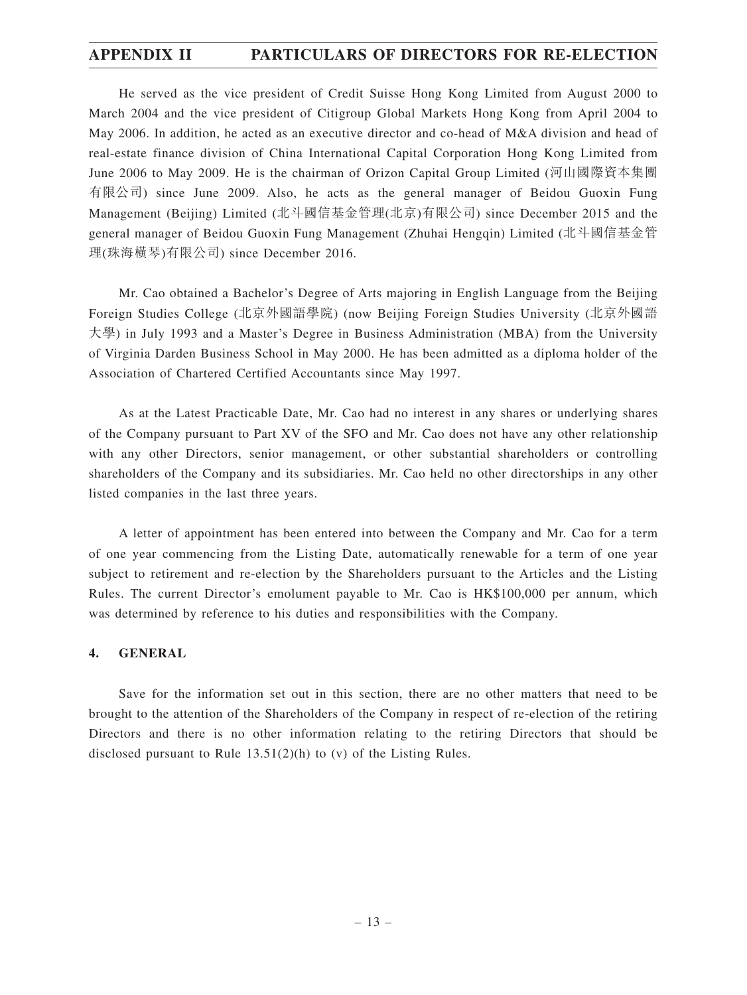# **APPENDIX II PARTICULARS OF DIRECTORS FOR RE-ELECTION**

He served as the vice president of Credit Suisse Hong Kong Limited from August 2000 to March 2004 and the vice president of Citigroup Global Markets Hong Kong from April 2004 to May 2006. In addition, he acted as an executive director and co-head of M&A division and head of real-estate finance division of China International Capital Corporation Hong Kong Limited from June 2006 to May 2009. He is the chairman of Orizon Capital Group Limited (河山國際資本集團 有限公司) since June 2009. Also, he acts as the general manager of Beidou Guoxin Fung Management (Beijing) Limited (北斗國信基金管理(北京)有限公司) since December 2015 and the general manager of Beidou Guoxin Fung Management (Zhuhai Hengqin) Limited (北斗國信基金管 理(珠海橫琴)有限公司) since December 2016.

Mr. Cao obtained a Bachelor's Degree of Arts majoring in English Language from the Beijing Foreign Studies College (北京外國語學院) (now Beijing Foreign Studies University (北京外國語 大學) in July 1993 and a Master's Degree in Business Administration (MBA) from the University of Virginia Darden Business School in May 2000. He has been admitted as a diploma holder of the Association of Chartered Certified Accountants since May 1997.

As at the Latest Practicable Date, Mr. Cao had no interest in any shares or underlying shares of the Company pursuant to Part XV of the SFO and Mr. Cao does not have any other relationship with any other Directors, senior management, or other substantial shareholders or controlling shareholders of the Company and its subsidiaries. Mr. Cao held no other directorships in any other listed companies in the last three years.

A letter of appointment has been entered into between the Company and Mr. Cao for a term of one year commencing from the Listing Date, automatically renewable for a term of one year subject to retirement and re-election by the Shareholders pursuant to the Articles and the Listing Rules. The current Director's emolument payable to Mr. Cao is HK\$100,000 per annum, which was determined by reference to his duties and responsibilities with the Company.

### **4. GENERAL**

Save for the information set out in this section, there are no other matters that need to be brought to the attention of the Shareholders of the Company in respect of re-election of the retiring Directors and there is no other information relating to the retiring Directors that should be disclosed pursuant to Rule 13.51(2)(h) to (v) of the Listing Rules.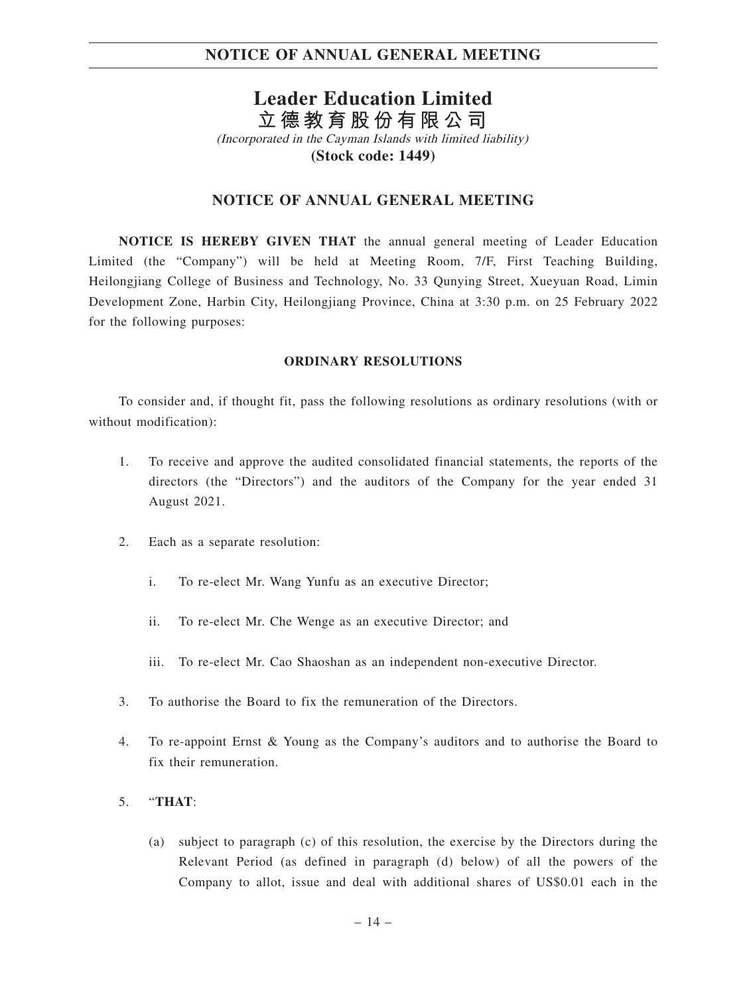# **Leader Education Limited 立德教育股份有限公司**

(Incorporated in the Cayman Islands with limited liability) **(Stock code: 1449)**

### **NOTICE OF ANNUAL GENERAL MEETING**

**NOTICE IS HEREBY GIVEN THAT** the annual general meeting of Leader Education Limited (the "Company") will be held at Meeting Room, 7/F, First Teaching Building, Heilongjiang College of Business and Technology, No. 33 Qunying Street, Xueyuan Road, Limin Development Zone, Harbin City, Heilongjiang Province, China at 3:30 p.m. on 25 February 2022 for the following purposes:

### **ORDINARY RESOLUTIONS**

To consider and, if thought fit, pass the following resolutions as ordinary resolutions (with or without modification):

- 1. To receive and approve the audited consolidated financial statements, the reports of the directors (the "Directors") and the auditors of the Company for the year ended 31 August 2021.
- 2. Each as a separate resolution:
	- i. To re-elect Mr. Wang Yunfu as an executive Director;
	- ii. To re-elect Mr. Che Wenge as an executive Director; and
	- iii. To re-elect Mr. Cao Shaoshan as an independent non-executive Director.
- 3. To authorise the Board to fix the remuneration of the Directors.
- 4. To re-appoint Ernst & Young as the Company's auditors and to authorise the Board to fix their remuneration.

### 5. "**THAT**:

(a) subject to paragraph (c) of this resolution, the exercise by the Directors during the Relevant Period (as defined in paragraph (d) below) of all the powers of the Company to allot, issue and deal with additional shares of US\$0.01 each in the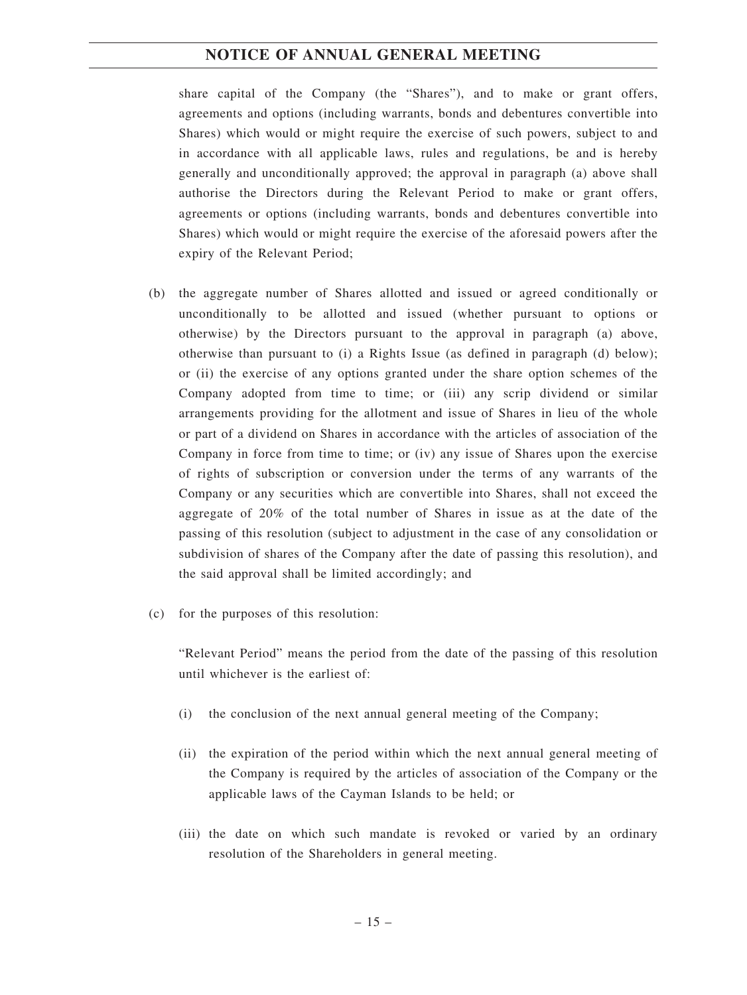share capital of the Company (the "Shares"), and to make or grant offers, agreements and options (including warrants, bonds and debentures convertible into Shares) which would or might require the exercise of such powers, subject to and in accordance with all applicable laws, rules and regulations, be and is hereby generally and unconditionally approved; the approval in paragraph (a) above shall authorise the Directors during the Relevant Period to make or grant offers, agreements or options (including warrants, bonds and debentures convertible into Shares) which would or might require the exercise of the aforesaid powers after the expiry of the Relevant Period;

- (b) the aggregate number of Shares allotted and issued or agreed conditionally or unconditionally to be allotted and issued (whether pursuant to options or otherwise) by the Directors pursuant to the approval in paragraph (a) above, otherwise than pursuant to (i) a Rights Issue (as defined in paragraph (d) below); or (ii) the exercise of any options granted under the share option schemes of the Company adopted from time to time; or (iii) any scrip dividend or similar arrangements providing for the allotment and issue of Shares in lieu of the whole or part of a dividend on Shares in accordance with the articles of association of the Company in force from time to time; or (iv) any issue of Shares upon the exercise of rights of subscription or conversion under the terms of any warrants of the Company or any securities which are convertible into Shares, shall not exceed the aggregate of 20% of the total number of Shares in issue as at the date of the passing of this resolution (subject to adjustment in the case of any consolidation or subdivision of shares of the Company after the date of passing this resolution), and the said approval shall be limited accordingly; and
- (c) for the purposes of this resolution:

"Relevant Period" means the period from the date of the passing of this resolution until whichever is the earliest of:

- (i) the conclusion of the next annual general meeting of the Company;
- (ii) the expiration of the period within which the next annual general meeting of the Company is required by the articles of association of the Company or the applicable laws of the Cayman Islands to be held; or
- (iii) the date on which such mandate is revoked or varied by an ordinary resolution of the Shareholders in general meeting.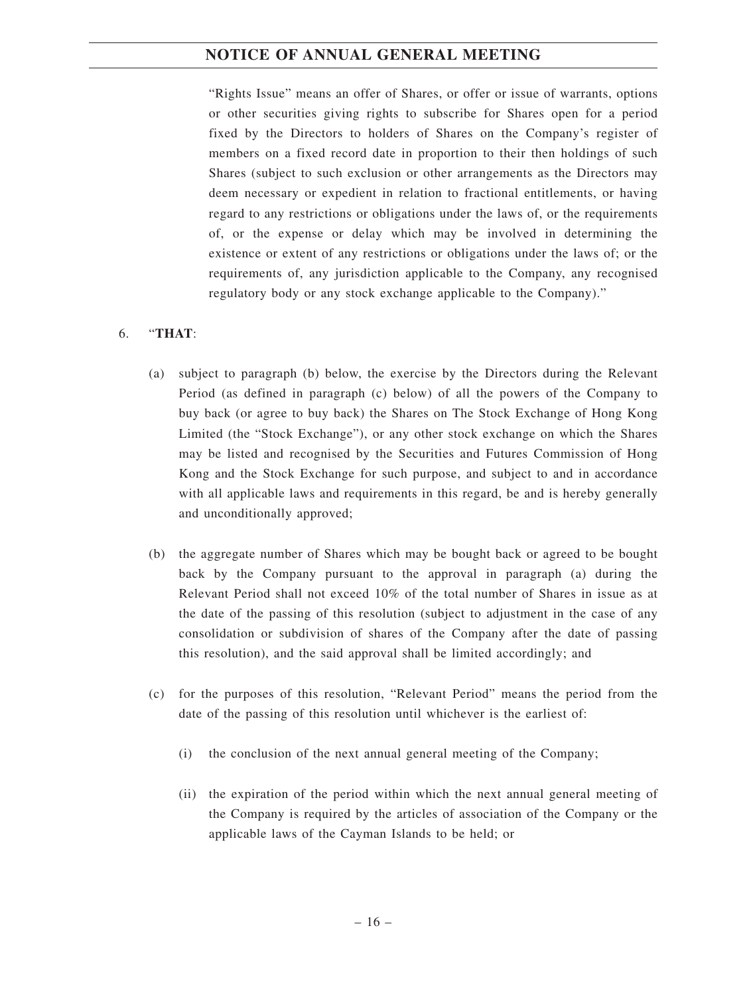"Rights Issue" means an offer of Shares, or offer or issue of warrants, options or other securities giving rights to subscribe for Shares open for a period fixed by the Directors to holders of Shares on the Company's register of members on a fixed record date in proportion to their then holdings of such Shares (subject to such exclusion or other arrangements as the Directors may deem necessary or expedient in relation to fractional entitlements, or having regard to any restrictions or obligations under the laws of, or the requirements of, or the expense or delay which may be involved in determining the existence or extent of any restrictions or obligations under the laws of; or the requirements of, any jurisdiction applicable to the Company, any recognised regulatory body or any stock exchange applicable to the Company)."

### 6. "**THAT**:

- (a) subject to paragraph (b) below, the exercise by the Directors during the Relevant Period (as defined in paragraph (c) below) of all the powers of the Company to buy back (or agree to buy back) the Shares on The Stock Exchange of Hong Kong Limited (the "Stock Exchange"), or any other stock exchange on which the Shares may be listed and recognised by the Securities and Futures Commission of Hong Kong and the Stock Exchange for such purpose, and subject to and in accordance with all applicable laws and requirements in this regard, be and is hereby generally and unconditionally approved;
- (b) the aggregate number of Shares which may be bought back or agreed to be bought back by the Company pursuant to the approval in paragraph (a) during the Relevant Period shall not exceed 10% of the total number of Shares in issue as at the date of the passing of this resolution (subject to adjustment in the case of any consolidation or subdivision of shares of the Company after the date of passing this resolution), and the said approval shall be limited accordingly; and
- (c) for the purposes of this resolution, "Relevant Period" means the period from the date of the passing of this resolution until whichever is the earliest of:
	- (i) the conclusion of the next annual general meeting of the Company;
	- (ii) the expiration of the period within which the next annual general meeting of the Company is required by the articles of association of the Company or the applicable laws of the Cayman Islands to be held; or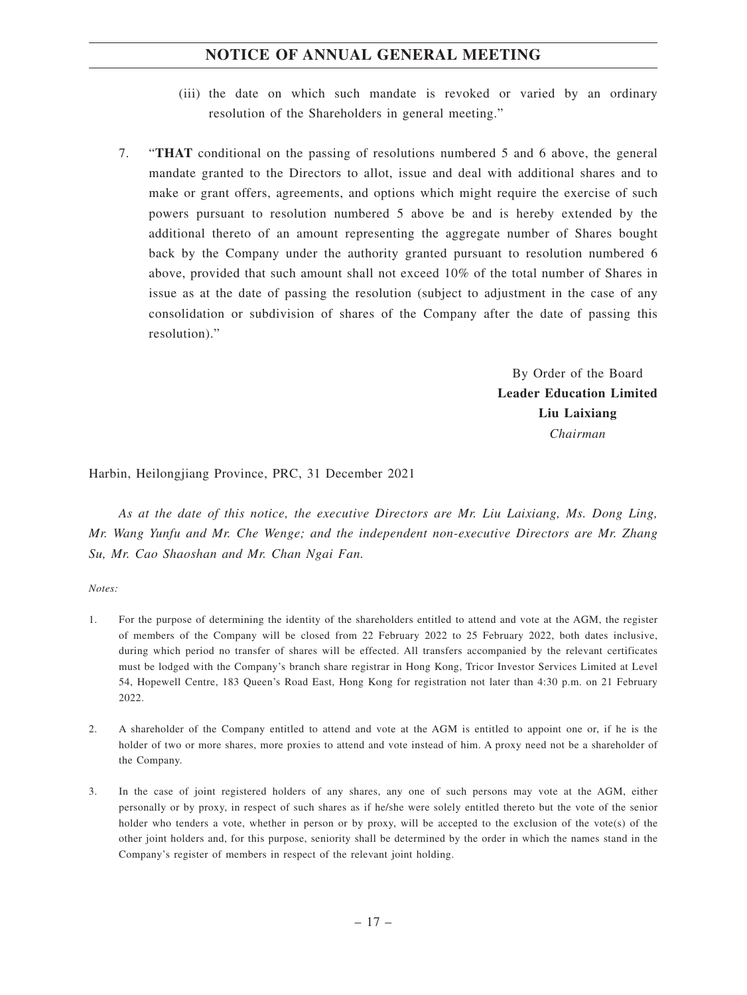- (iii) the date on which such mandate is revoked or varied by an ordinary resolution of the Shareholders in general meeting."
- 7. "**THAT** conditional on the passing of resolutions numbered 5 and 6 above, the general mandate granted to the Directors to allot, issue and deal with additional shares and to make or grant offers, agreements, and options which might require the exercise of such powers pursuant to resolution numbered 5 above be and is hereby extended by the additional thereto of an amount representing the aggregate number of Shares bought back by the Company under the authority granted pursuant to resolution numbered 6 above, provided that such amount shall not exceed 10% of the total number of Shares in issue as at the date of passing the resolution (subject to adjustment in the case of any consolidation or subdivision of shares of the Company after the date of passing this resolution)."

By Order of the Board **Leader Education Limited Liu Laixiang** *Chairman*

Harbin, Heilongjiang Province, PRC, 31 December 2021

*As at the date of this notice, the executive Directors are Mr. Liu Laixiang, Ms. Dong Ling, Mr. Wang Yunfu and Mr. Che Wenge; and the independent non-executive Directors are Mr. Zhang Su, Mr. Cao Shaoshan and Mr. Chan Ngai Fan.*

#### *Notes:*

- 1. For the purpose of determining the identity of the shareholders entitled to attend and vote at the AGM, the register of members of the Company will be closed from 22 February 2022 to 25 February 2022, both dates inclusive, during which period no transfer of shares will be effected. All transfers accompanied by the relevant certificates must be lodged with the Company's branch share registrar in Hong Kong, Tricor Investor Services Limited at Level 54, Hopewell Centre, 183 Queen's Road East, Hong Kong for registration not later than 4:30 p.m. on 21 February 2022.
- 2. A shareholder of the Company entitled to attend and vote at the AGM is entitled to appoint one or, if he is the holder of two or more shares, more proxies to attend and vote instead of him. A proxy need not be a shareholder of the Company.
- 3. In the case of joint registered holders of any shares, any one of such persons may vote at the AGM, either personally or by proxy, in respect of such shares as if he/she were solely entitled thereto but the vote of the senior holder who tenders a vote, whether in person or by proxy, will be accepted to the exclusion of the vote(s) of the other joint holders and, for this purpose, seniority shall be determined by the order in which the names stand in the Company's register of members in respect of the relevant joint holding.